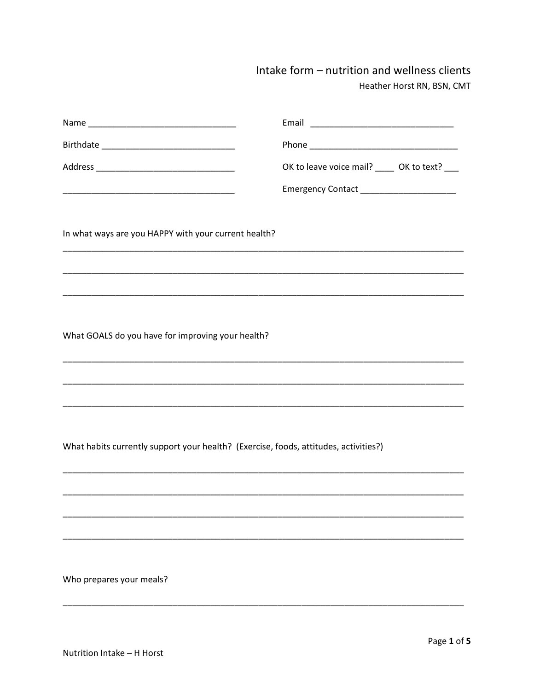## Intake form - nutrition and wellness clients Heather Horst RN, BSN, CMT

|                                                                                      | OK to leave voice mail? _____ OK to text?                                                                             |
|--------------------------------------------------------------------------------------|-----------------------------------------------------------------------------------------------------------------------|
|                                                                                      | Emergency Contact _______________________                                                                             |
| In what ways are you HAPPY with your current health?                                 |                                                                                                                       |
|                                                                                      |                                                                                                                       |
| What GOALS do you have for improving your health?                                    | <u> 1989 - Johann Stoff, deutscher Stoff, der Stoff, der Stoff, der Stoff, der Stoff, der Stoff, der Stoff, der S</u> |
|                                                                                      |                                                                                                                       |
| What habits currently support your health? (Exercise, foods, attitudes, activities?) |                                                                                                                       |
|                                                                                      |                                                                                                                       |
|                                                                                      |                                                                                                                       |
|                                                                                      |                                                                                                                       |
| Who prepares your meals?                                                             |                                                                                                                       |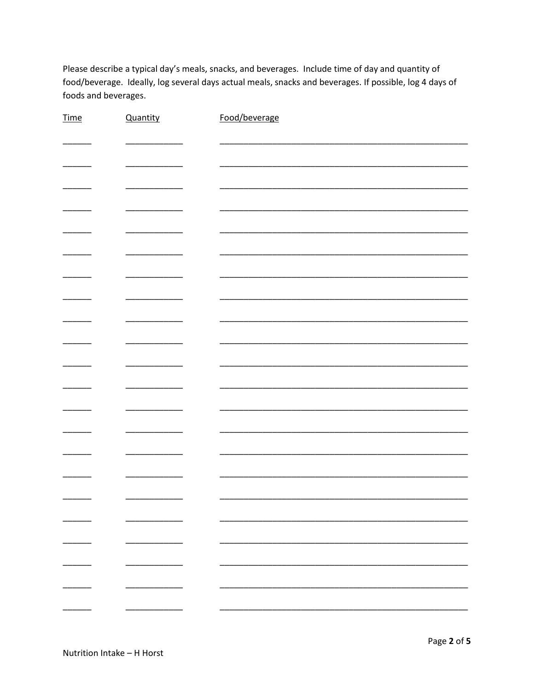Please describe a typical day's meals, snacks, and beverages. Include time of day and quantity of food/beverage. Ideally, log several days actual meals, snacks and beverages. If possible, log 4 days of foods and beverages.

| <b>Time</b>              | Quantity | Food/beverage |
|--------------------------|----------|---------------|
|                          |          |               |
|                          |          |               |
|                          |          |               |
|                          |          |               |
|                          |          |               |
|                          |          |               |
|                          |          |               |
|                          |          |               |
|                          |          |               |
|                          |          |               |
|                          |          |               |
|                          |          |               |
|                          |          |               |
|                          |          |               |
|                          |          |               |
|                          |          |               |
|                          |          |               |
|                          |          |               |
|                          |          |               |
|                          |          |               |
|                          |          |               |
|                          |          |               |
|                          |          |               |
|                          |          |               |
|                          |          |               |
|                          |          |               |
|                          |          |               |
|                          |          |               |
|                          |          |               |
|                          |          |               |
| $\overline{\phantom{0}}$ | -        |               |
|                          |          |               |
|                          |          |               |
|                          | -        |               |
|                          |          |               |
|                          |          |               |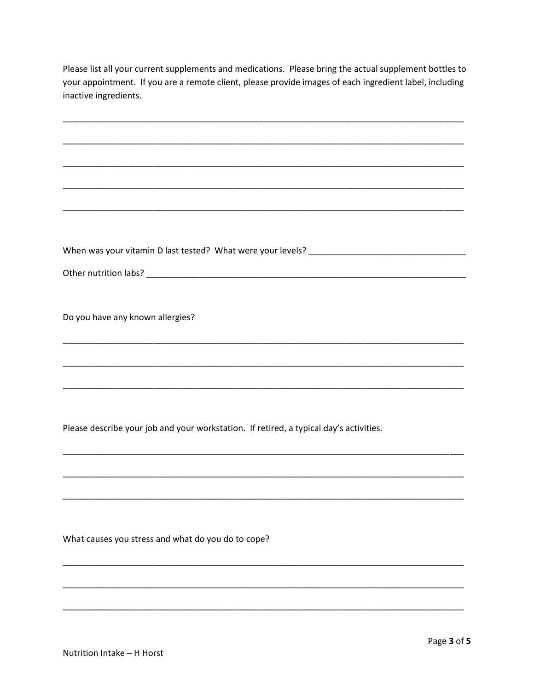Please list all your current supplements and medications. Please bring the actual supplement bottles to your appointment. If you are a remote client, please provide images of each ingredient label, including inactive ingredients.

| Do you have any known allergies?                                                       |
|----------------------------------------------------------------------------------------|
|                                                                                        |
|                                                                                        |
|                                                                                        |
|                                                                                        |
|                                                                                        |
|                                                                                        |
|                                                                                        |
|                                                                                        |
|                                                                                        |
|                                                                                        |
| Please describe your job and your workstation. If retired, a typical day's activities. |
|                                                                                        |
|                                                                                        |
|                                                                                        |
|                                                                                        |
|                                                                                        |
|                                                                                        |
|                                                                                        |
|                                                                                        |
|                                                                                        |
|                                                                                        |
| What causes you stress and what do you do to cope?                                     |
|                                                                                        |
|                                                                                        |
|                                                                                        |
|                                                                                        |
|                                                                                        |
|                                                                                        |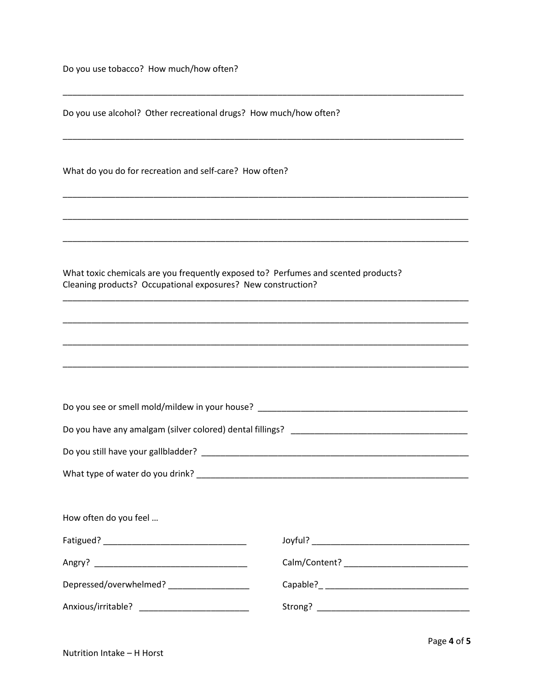Do you use tobacco? How much/how often?

Do you use alcohol? Other recreational drugs? How much/how often?

What do you do for recreation and self-care? How often?

What toxic chemicals are you frequently exposed to? Perfumes and scented products? Cleaning products? Occupational exposures? New construction?

| How often do you feel                         |  |  |
|-----------------------------------------------|--|--|
|                                               |  |  |
|                                               |  |  |
| Depressed/overwhelmed? ____________________   |  |  |
| Anxious/irritable? __________________________ |  |  |